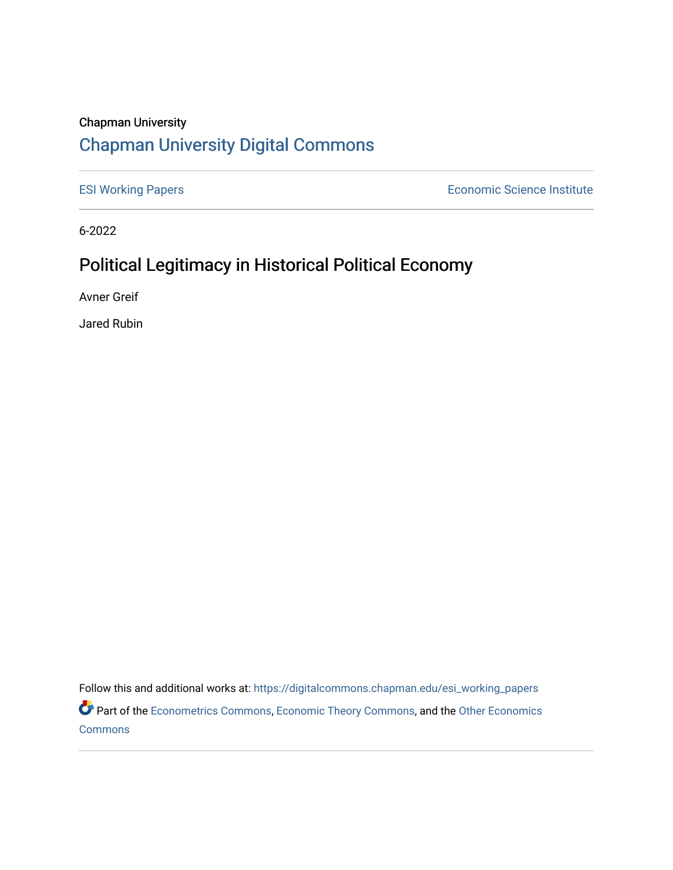# Chapman University [Chapman University Digital Commons](https://digitalcommons.chapman.edu/)

[ESI Working Papers](https://digitalcommons.chapman.edu/esi_working_papers) **Example 2018** Economic Science Institute

6-2022

# Political Legitimacy in Historical Political Economy

Avner Greif

Jared Rubin

Follow this and additional works at: [https://digitalcommons.chapman.edu/esi\\_working\\_papers](https://digitalcommons.chapman.edu/esi_working_papers?utm_source=digitalcommons.chapman.edu%2Fesi_working_papers%2F369&utm_medium=PDF&utm_campaign=PDFCoverPages)

Part of the [Econometrics Commons](https://network.bepress.com/hgg/discipline/342?utm_source=digitalcommons.chapman.edu%2Fesi_working_papers%2F369&utm_medium=PDF&utm_campaign=PDFCoverPages), [Economic Theory Commons](https://network.bepress.com/hgg/discipline/344?utm_source=digitalcommons.chapman.edu%2Fesi_working_papers%2F369&utm_medium=PDF&utm_campaign=PDFCoverPages), and the [Other Economics](https://network.bepress.com/hgg/discipline/353?utm_source=digitalcommons.chapman.edu%2Fesi_working_papers%2F369&utm_medium=PDF&utm_campaign=PDFCoverPages)  **[Commons](https://network.bepress.com/hgg/discipline/353?utm_source=digitalcommons.chapman.edu%2Fesi_working_papers%2F369&utm_medium=PDF&utm_campaign=PDFCoverPages)**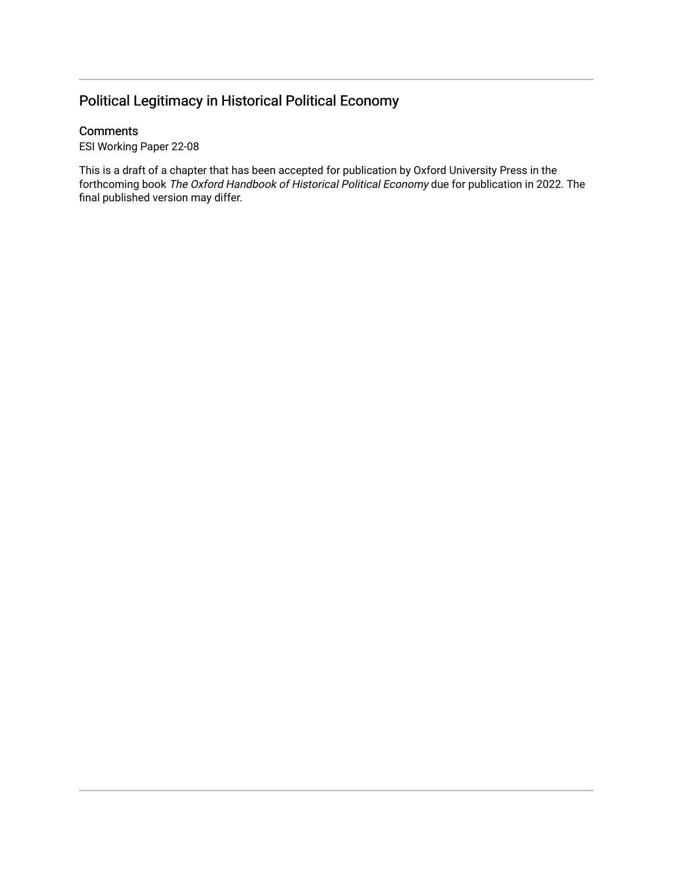## Political Legitimacy in Historical Political Economy

### **Comments**

ESI Working Paper 22-08

This is a draft of a chapter that has been accepted for publication by Oxford University Press in the forthcoming book The Oxford Handbook of Historical Political Economy due for publication in 2022. The final published version may differ.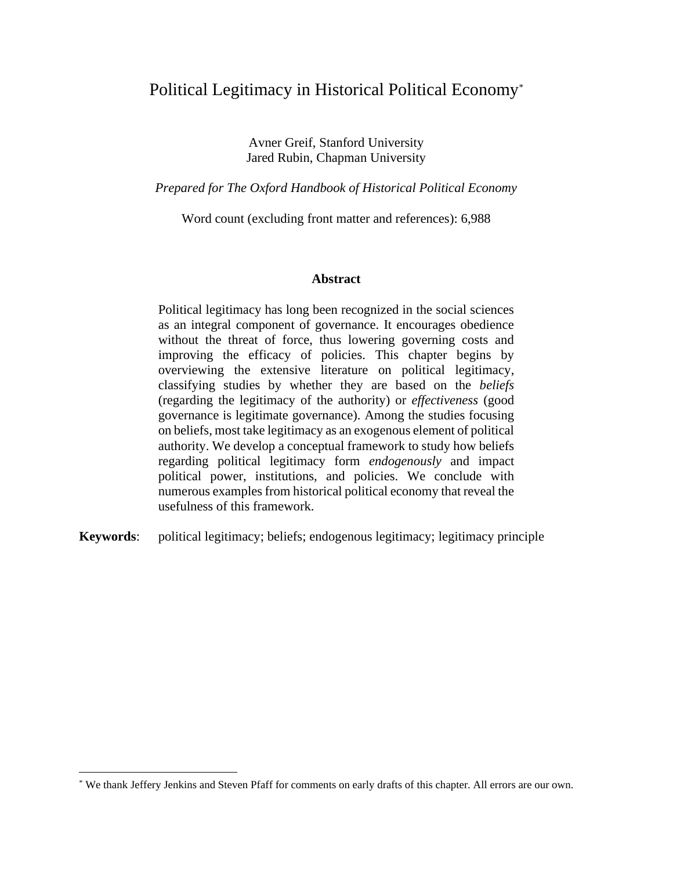## Political Legitimacy in Historical Political Economy\*

Avner Greif, Stanford University Jared Rubin, Chapman University

*Prepared for The Oxford Handbook of Historical Political Economy*

Word count (excluding front matter and references): 6,988

#### **Abstract**

Political legitimacy has long been recognized in the social sciences as an integral component of governance. It encourages obedience without the threat of force, thus lowering governing costs and improving the efficacy of policies. This chapter begins by overviewing the extensive literature on political legitimacy, classifying studies by whether they are based on the *beliefs* (regarding the legitimacy of the authority) or *effectiveness* (good governance is legitimate governance). Among the studies focusing on beliefs, most take legitimacy as an exogenous element of political authority. We develop a conceptual framework to study how beliefs regarding political legitimacy form *endogenously* and impact political power, institutions, and policies. We conclude with numerous examples from historical political economy that reveal the usefulness of this framework.

**Keywords**: political legitimacy; beliefs; endogenous legitimacy; legitimacy principle

<sup>\*</sup> We thank Jeffery Jenkins and Steven Pfaff for comments on early drafts of this chapter. All errors are our own.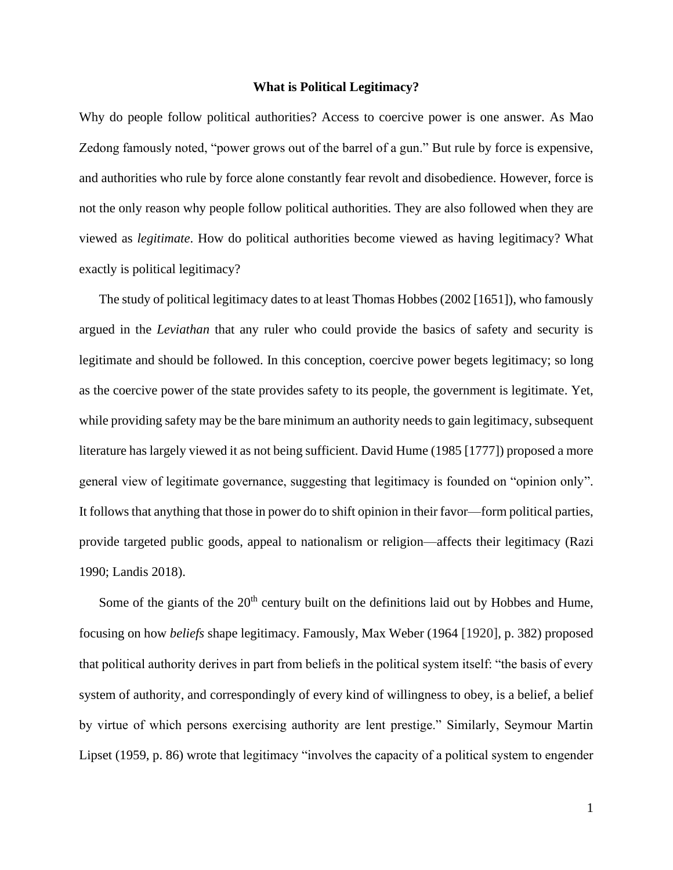#### **What is Political Legitimacy?**

Why do people follow political authorities? Access to coercive power is one answer. As Mao Zedong famously noted, "power grows out of the barrel of a gun." But rule by force is expensive, and authorities who rule by force alone constantly fear revolt and disobedience. However, force is not the only reason why people follow political authorities. They are also followed when they are viewed as *legitimate*. How do political authorities become viewed as having legitimacy? What exactly is political legitimacy?

The study of political legitimacy dates to at least Thomas Hobbes (2002 [1651]), who famously argued in the *Leviathan* that any ruler who could provide the basics of safety and security is legitimate and should be followed. In this conception, coercive power begets legitimacy; so long as the coercive power of the state provides safety to its people, the government is legitimate. Yet, while providing safety may be the bare minimum an authority needs to gain legitimacy, subsequent literature has largely viewed it as not being sufficient. David Hume (1985 [1777]) proposed a more general view of legitimate governance, suggesting that legitimacy is founded on "opinion only". It follows that anything that those in power do to shift opinion in their favor—form political parties, provide targeted public goods, appeal to nationalism or religion—affects their legitimacy (Razi 1990; Landis 2018).

Some of the giants of the  $20<sup>th</sup>$  century built on the definitions laid out by Hobbes and Hume, focusing on how *beliefs* shape legitimacy. Famously, Max Weber (1964 [1920], p. 382) proposed that political authority derives in part from beliefs in the political system itself: "the basis of every system of authority, and correspondingly of every kind of willingness to obey, is a belief, a belief by virtue of which persons exercising authority are lent prestige." Similarly, Seymour Martin Lipset (1959, p. 86) wrote that legitimacy "involves the capacity of a political system to engender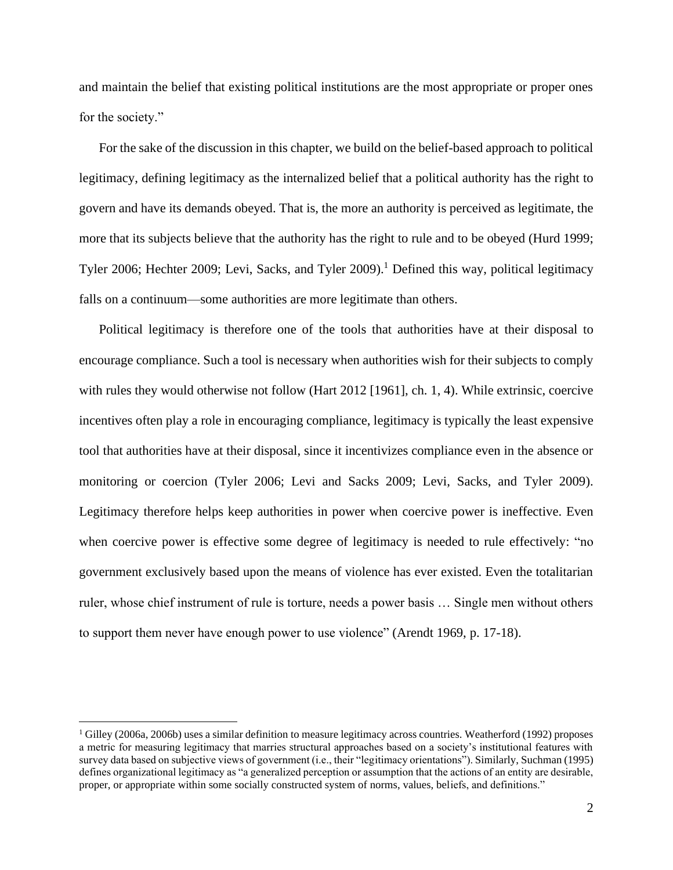and maintain the belief that existing political institutions are the most appropriate or proper ones for the society."

For the sake of the discussion in this chapter, we build on the belief-based approach to political legitimacy, defining legitimacy as the internalized belief that a political authority has the right to govern and have its demands obeyed. That is, the more an authority is perceived as legitimate, the more that its subjects believe that the authority has the right to rule and to be obeyed (Hurd 1999; Tyler 2006; Hechter 2009; Levi, Sacks, and Tyler 2009). <sup>1</sup> Defined this way, political legitimacy falls on a continuum—some authorities are more legitimate than others.

Political legitimacy is therefore one of the tools that authorities have at their disposal to encourage compliance. Such a tool is necessary when authorities wish for their subjects to comply with rules they would otherwise not follow (Hart 2012 [1961], ch. 1, 4). While extrinsic, coercive incentives often play a role in encouraging compliance, legitimacy is typically the least expensive tool that authorities have at their disposal, since it incentivizes compliance even in the absence or monitoring or coercion (Tyler 2006; Levi and Sacks 2009; Levi, Sacks, and Tyler 2009). Legitimacy therefore helps keep authorities in power when coercive power is ineffective. Even when coercive power is effective some degree of legitimacy is needed to rule effectively: "no government exclusively based upon the means of violence has ever existed. Even the totalitarian ruler, whose chief instrument of rule is torture, needs a power basis … Single men without others to support them never have enough power to use violence" (Arendt 1969, p. 17-18).

 $1$  Gilley (2006a, 2006b) uses a similar definition to measure legitimacy across countries. Weatherford (1992) proposes a metric for measuring legitimacy that marries structural approaches based on a society's institutional features with survey data based on subjective views of government (i.e., their "legitimacy orientations"). Similarly, Suchman (1995) defines organizational legitimacy as "a generalized perception or assumption that the actions of an entity are desirable, proper, or appropriate within some socially constructed system of norms, values, beliefs, and definitions."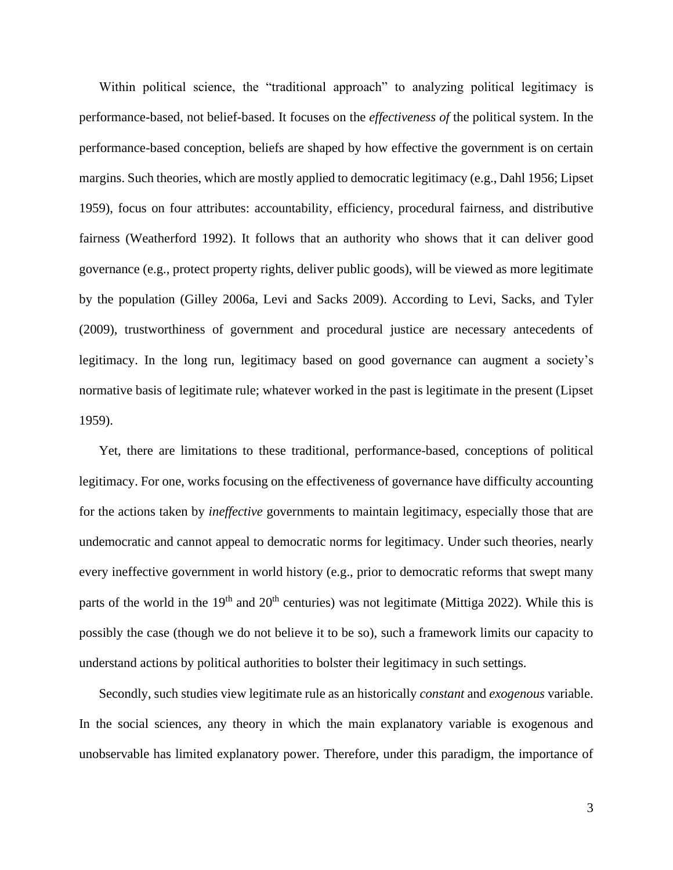Within political science, the "traditional approach" to analyzing political legitimacy is performance-based, not belief-based. It focuses on the *effectiveness of* the political system. In the performance-based conception, beliefs are shaped by how effective the government is on certain margins. Such theories, which are mostly applied to democratic legitimacy (e.g., Dahl 1956; Lipset 1959), focus on four attributes: accountability, efficiency, procedural fairness, and distributive fairness (Weatherford 1992). It follows that an authority who shows that it can deliver good governance (e.g., protect property rights, deliver public goods), will be viewed as more legitimate by the population (Gilley 2006a, Levi and Sacks 2009). According to Levi, Sacks, and Tyler (2009), trustworthiness of government and procedural justice are necessary antecedents of legitimacy. In the long run, legitimacy based on good governance can augment a society's normative basis of legitimate rule; whatever worked in the past is legitimate in the present (Lipset 1959).

Yet, there are limitations to these traditional, performance-based, conceptions of political legitimacy. For one, works focusing on the effectiveness of governance have difficulty accounting for the actions taken by *ineffective* governments to maintain legitimacy, especially those that are undemocratic and cannot appeal to democratic norms for legitimacy. Under such theories, nearly every ineffective government in world history (e.g., prior to democratic reforms that swept many parts of the world in the  $19<sup>th</sup>$  and  $20<sup>th</sup>$  centuries) was not legitimate (Mittiga 2022). While this is possibly the case (though we do not believe it to be so), such a framework limits our capacity to understand actions by political authorities to bolster their legitimacy in such settings.

Secondly, such studies view legitimate rule as an historically *constant* and *exogenous* variable. In the social sciences, any theory in which the main explanatory variable is exogenous and unobservable has limited explanatory power. Therefore, under this paradigm, the importance of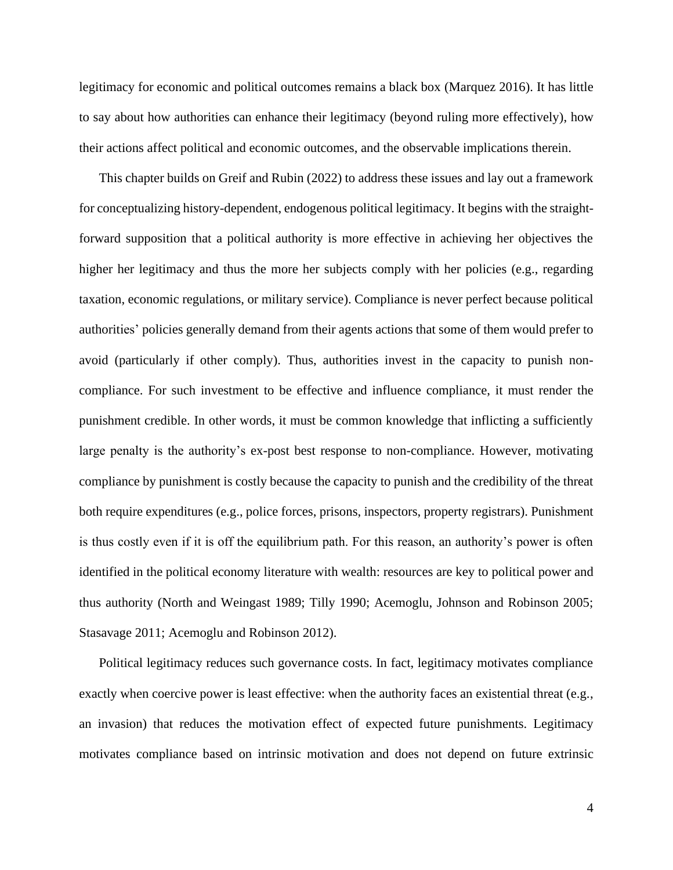legitimacy for economic and political outcomes remains a black box (Marquez 2016). It has little to say about how authorities can enhance their legitimacy (beyond ruling more effectively), how their actions affect political and economic outcomes, and the observable implications therein.

This chapter builds on Greif and Rubin (2022) to address these issues and lay out a framework for conceptualizing history-dependent, endogenous political legitimacy. It begins with the straightforward supposition that a political authority is more effective in achieving her objectives the higher her legitimacy and thus the more her subjects comply with her policies (e.g., regarding taxation, economic regulations, or military service). Compliance is never perfect because political authorities' policies generally demand from their agents actions that some of them would prefer to avoid (particularly if other comply). Thus, authorities invest in the capacity to punish noncompliance. For such investment to be effective and influence compliance, it must render the punishment credible. In other words, it must be common knowledge that inflicting a sufficiently large penalty is the authority's ex-post best response to non-compliance. However, motivating compliance by punishment is costly because the capacity to punish and the credibility of the threat both require expenditures (e.g., police forces, prisons, inspectors, property registrars). Punishment is thus costly even if it is off the equilibrium path. For this reason, an authority's power is often identified in the political economy literature with wealth: resources are key to political power and thus authority (North and Weingast 1989; Tilly 1990; Acemoglu, Johnson and Robinson 2005; Stasavage 2011; Acemoglu and Robinson 2012).

Political legitimacy reduces such governance costs. In fact, legitimacy motivates compliance exactly when coercive power is least effective: when the authority faces an existential threat (e.g., an invasion) that reduces the motivation effect of expected future punishments. Legitimacy motivates compliance based on intrinsic motivation and does not depend on future extrinsic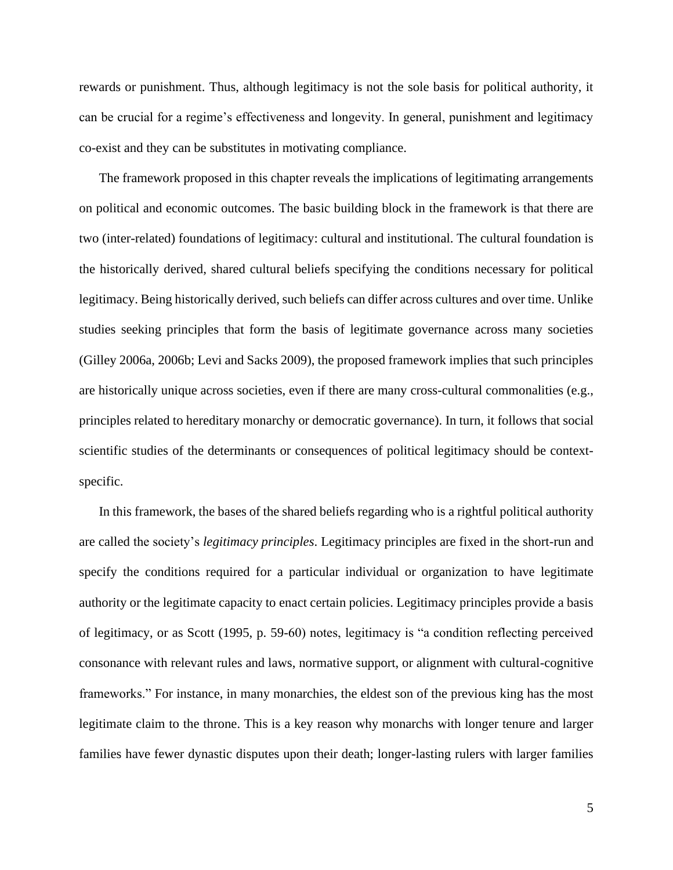rewards or punishment. Thus, although legitimacy is not the sole basis for political authority, it can be crucial for a regime's effectiveness and longevity. In general, punishment and legitimacy co-exist and they can be substitutes in motivating compliance.

The framework proposed in this chapter reveals the implications of legitimating arrangements on political and economic outcomes. The basic building block in the framework is that there are two (inter-related) foundations of legitimacy: cultural and institutional. The cultural foundation is the historically derived, shared cultural beliefs specifying the conditions necessary for political legitimacy. Being historically derived, such beliefs can differ across cultures and over time. Unlike studies seeking principles that form the basis of legitimate governance across many societies (Gilley 2006a, 2006b; Levi and Sacks 2009), the proposed framework implies that such principles are historically unique across societies, even if there are many cross-cultural commonalities (e.g., principles related to hereditary monarchy or democratic governance). In turn, it follows that social scientific studies of the determinants or consequences of political legitimacy should be contextspecific.

In this framework, the bases of the shared beliefs regarding who is a rightful political authority are called the society's *legitimacy principles*. Legitimacy principles are fixed in the short-run and specify the conditions required for a particular individual or organization to have legitimate authority or the legitimate capacity to enact certain policies. Legitimacy principles provide a basis of legitimacy, or as Scott (1995, p. 59-60) notes, legitimacy is "a condition reflecting perceived consonance with relevant rules and laws, normative support, or alignment with cultural-cognitive frameworks." For instance, in many monarchies, the eldest son of the previous king has the most legitimate claim to the throne. This is a key reason why monarchs with longer tenure and larger families have fewer dynastic disputes upon their death; longer-lasting rulers with larger families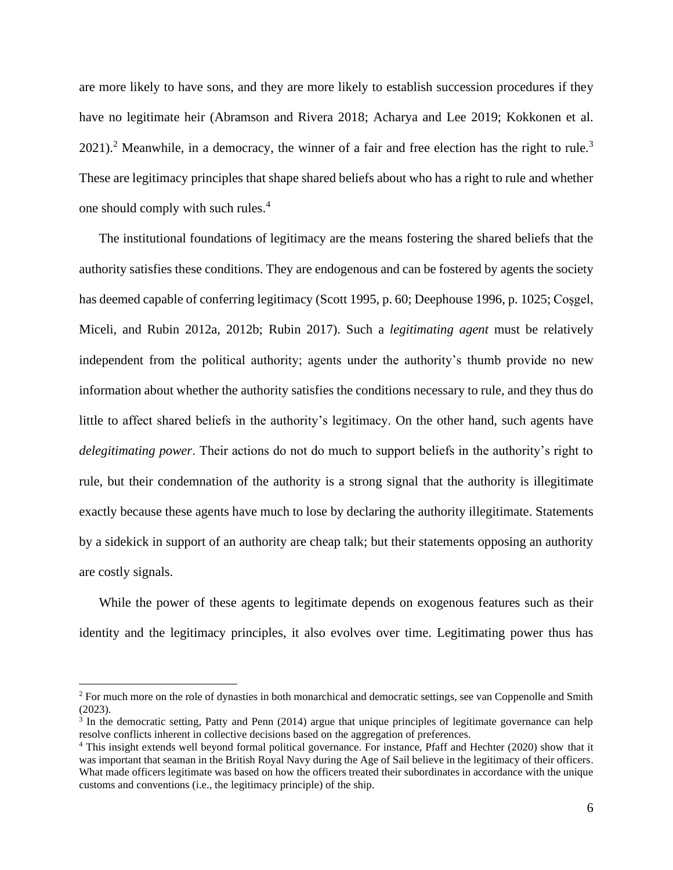are more likely to have sons, and they are more likely to establish succession procedures if they have no legitimate heir (Abramson and Rivera 2018; Acharya and Lee 2019; Kokkonen et al.  $2021$ ).<sup>2</sup> Meanwhile, in a democracy, the winner of a fair and free election has the right to rule.<sup>3</sup> These are legitimacy principles that shape shared beliefs about who has a right to rule and whether one should comply with such rules. 4

The institutional foundations of legitimacy are the means fostering the shared beliefs that the authority satisfies these conditions. They are endogenous and can be fostered by agents the society has deemed capable of conferring legitimacy (Scott 1995, p. 60; Deephouse 1996, p. 1025; Coşgel, Miceli, and Rubin 2012a, 2012b; Rubin 2017). Such a *legitimating agent* must be relatively independent from the political authority; agents under the authority's thumb provide no new information about whether the authority satisfies the conditions necessary to rule, and they thus do little to affect shared beliefs in the authority's legitimacy. On the other hand, such agents have *delegitimating power*. Their actions do not do much to support beliefs in the authority's right to rule, but their condemnation of the authority is a strong signal that the authority is illegitimate exactly because these agents have much to lose by declaring the authority illegitimate. Statements by a sidekick in support of an authority are cheap talk; but their statements opposing an authority are costly signals.

While the power of these agents to legitimate depends on exogenous features such as their identity and the legitimacy principles, it also evolves over time. Legitimating power thus has

<sup>&</sup>lt;sup>2</sup> For much more on the role of dynasties in both monarchical and democratic settings, see van Coppenolle and Smith (2023).

<sup>&</sup>lt;sup>3</sup> In the democratic setting, Patty and Penn (2014) argue that unique principles of legitimate governance can help resolve conflicts inherent in collective decisions based on the aggregation of preferences.

<sup>4</sup> This insight extends well beyond formal political governance. For instance, Pfaff and Hechter (2020) show that it was important that seaman in the British Royal Navy during the Age of Sail believe in the legitimacy of their officers. What made officers legitimate was based on how the officers treated their subordinates in accordance with the unique customs and conventions (i.e., the legitimacy principle) of the ship.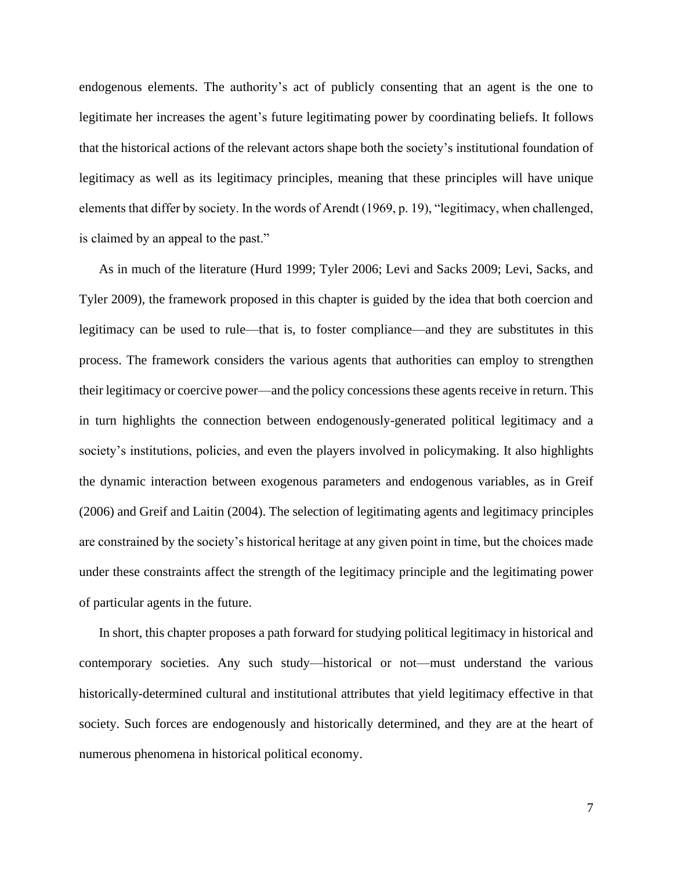endogenous elements. The authority's act of publicly consenting that an agent is the one to legitimate her increases the agent's future legitimating power by coordinating beliefs. It follows that the historical actions of the relevant actors shape both the society's institutional foundation of legitimacy as well as its legitimacy principles, meaning that these principles will have unique elements that differ by society. In the words of Arendt (1969, p. 19), "legitimacy, when challenged, is claimed by an appeal to the past."

As in much of the literature (Hurd 1999; Tyler 2006; Levi and Sacks 2009; Levi, Sacks, and Tyler 2009), the framework proposed in this chapter is guided by the idea that both coercion and legitimacy can be used to rule—that is, to foster compliance—and they are substitutes in this process. The framework considers the various agents that authorities can employ to strengthen their legitimacy or coercive power—and the policy concessions these agents receive in return. This in turn highlights the connection between endogenously-generated political legitimacy and a society's institutions, policies, and even the players involved in policymaking. It also highlights the dynamic interaction between exogenous parameters and endogenous variables, as in Greif (2006) and Greif and Laitin (2004). The selection of legitimating agents and legitimacy principles are constrained by the society's historical heritage at any given point in time, but the choices made under these constraints affect the strength of the legitimacy principle and the legitimating power of particular agents in the future.

In short, this chapter proposes a path forward for studying political legitimacy in historical and contemporary societies. Any such study—historical or not—must understand the various historically-determined cultural and institutional attributes that yield legitimacy effective in that society. Such forces are endogenously and historically determined, and they are at the heart of numerous phenomena in historical political economy.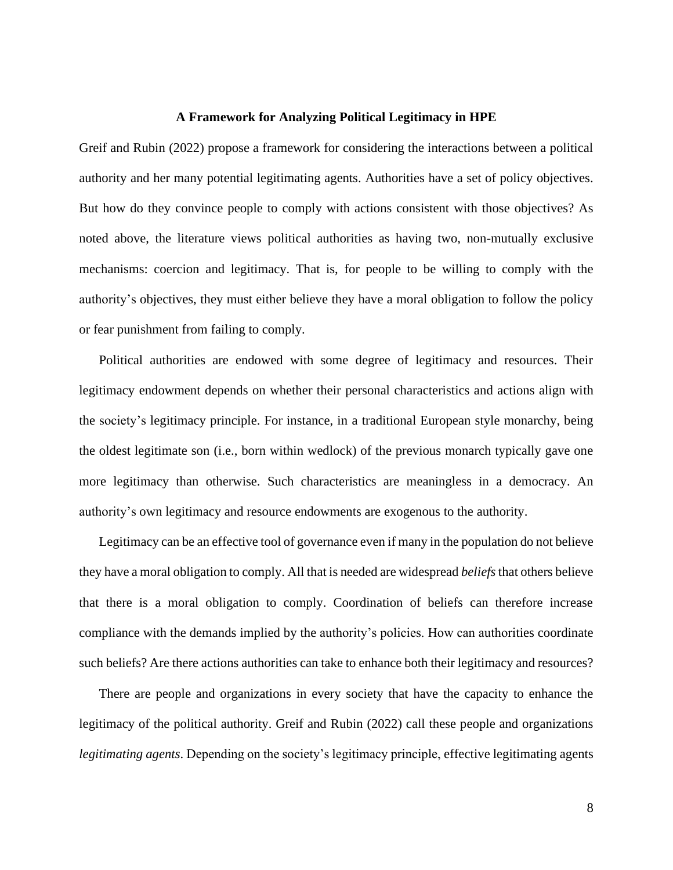#### **A Framework for Analyzing Political Legitimacy in HPE**

Greif and Rubin (2022) propose a framework for considering the interactions between a political authority and her many potential legitimating agents. Authorities have a set of policy objectives. But how do they convince people to comply with actions consistent with those objectives? As noted above, the literature views political authorities as having two, non-mutually exclusive mechanisms: coercion and legitimacy. That is, for people to be willing to comply with the authority's objectives, they must either believe they have a moral obligation to follow the policy or fear punishment from failing to comply.

Political authorities are endowed with some degree of legitimacy and resources. Their legitimacy endowment depends on whether their personal characteristics and actions align with the society's legitimacy principle. For instance, in a traditional European style monarchy, being the oldest legitimate son (i.e., born within wedlock) of the previous monarch typically gave one more legitimacy than otherwise. Such characteristics are meaningless in a democracy. An authority's own legitimacy and resource endowments are exogenous to the authority.

Legitimacy can be an effective tool of governance even if many in the population do not believe they have a moral obligation to comply. All that is needed are widespread *beliefs*that others believe that there is a moral obligation to comply. Coordination of beliefs can therefore increase compliance with the demands implied by the authority's policies. How can authorities coordinate such beliefs? Are there actions authorities can take to enhance both their legitimacy and resources?

There are people and organizations in every society that have the capacity to enhance the legitimacy of the political authority. Greif and Rubin (2022) call these people and organizations *legitimating agents*. Depending on the society's legitimacy principle, effective legitimating agents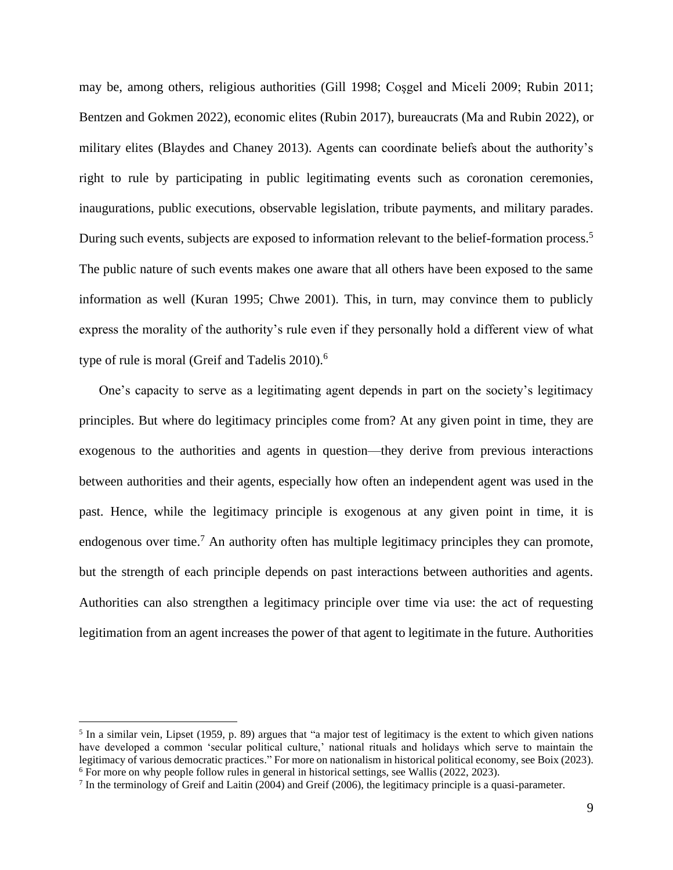may be, among others, religious authorities (Gill 1998; Coşgel and Miceli 2009; Rubin 2011; Bentzen and Gokmen 2022), economic elites (Rubin 2017), bureaucrats (Ma and Rubin 2022), or military elites (Blaydes and Chaney 2013). Agents can coordinate beliefs about the authority's right to rule by participating in public legitimating events such as coronation ceremonies, inaugurations, public executions, observable legislation, tribute payments, and military parades. During such events, subjects are exposed to information relevant to the belief-formation process.<sup>5</sup> The public nature of such events makes one aware that all others have been exposed to the same information as well (Kuran 1995; Chwe 2001). This, in turn, may convince them to publicly express the morality of the authority's rule even if they personally hold a different view of what type of rule is moral (Greif and Tadelis  $2010$ ).<sup>6</sup>

One's capacity to serve as a legitimating agent depends in part on the society's legitimacy principles. But where do legitimacy principles come from? At any given point in time, they are exogenous to the authorities and agents in question—they derive from previous interactions between authorities and their agents, especially how often an independent agent was used in the past. Hence, while the legitimacy principle is exogenous at any given point in time, it is endogenous over time.<sup>7</sup> An authority often has multiple legitimacy principles they can promote, but the strength of each principle depends on past interactions between authorities and agents. Authorities can also strengthen a legitimacy principle over time via use: the act of requesting legitimation from an agent increases the power of that agent to legitimate in the future. Authorities

<sup>&</sup>lt;sup>5</sup> In a similar vein, Lipset (1959, p. 89) argues that "a major test of legitimacy is the extent to which given nations have developed a common 'secular political culture,' national rituals and holidays which serve to maintain the legitimacy of various democratic practices." For more on nationalism in historical political economy, see Boix (2023). <sup>6</sup> For more on why people follow rules in general in historical settings, see Wallis (2022, 2023).

<sup>&</sup>lt;sup>7</sup> In the terminology of Greif and Laitin (2004) and Greif (2006), the legitimacy principle is a quasi-parameter.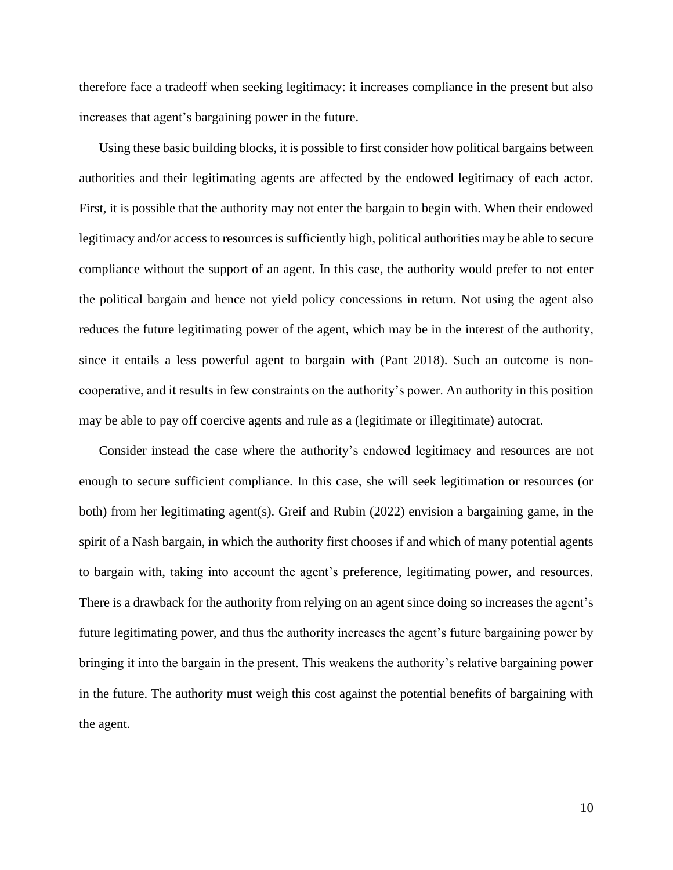therefore face a tradeoff when seeking legitimacy: it increases compliance in the present but also increases that agent's bargaining power in the future.

Using these basic building blocks, it is possible to first consider how political bargains between authorities and their legitimating agents are affected by the endowed legitimacy of each actor. First, it is possible that the authority may not enter the bargain to begin with. When their endowed legitimacy and/or access to resources is sufficiently high, political authorities may be able to secure compliance without the support of an agent. In this case, the authority would prefer to not enter the political bargain and hence not yield policy concessions in return. Not using the agent also reduces the future legitimating power of the agent, which may be in the interest of the authority, since it entails a less powerful agent to bargain with (Pant 2018). Such an outcome is noncooperative, and it results in few constraints on the authority's power. An authority in this position may be able to pay off coercive agents and rule as a (legitimate or illegitimate) autocrat.

Consider instead the case where the authority's endowed legitimacy and resources are not enough to secure sufficient compliance. In this case, she will seek legitimation or resources (or both) from her legitimating agent(s). Greif and Rubin (2022) envision a bargaining game, in the spirit of a Nash bargain, in which the authority first chooses if and which of many potential agents to bargain with, taking into account the agent's preference, legitimating power, and resources. There is a drawback for the authority from relying on an agent since doing so increases the agent's future legitimating power, and thus the authority increases the agent's future bargaining power by bringing it into the bargain in the present. This weakens the authority's relative bargaining power in the future. The authority must weigh this cost against the potential benefits of bargaining with the agent.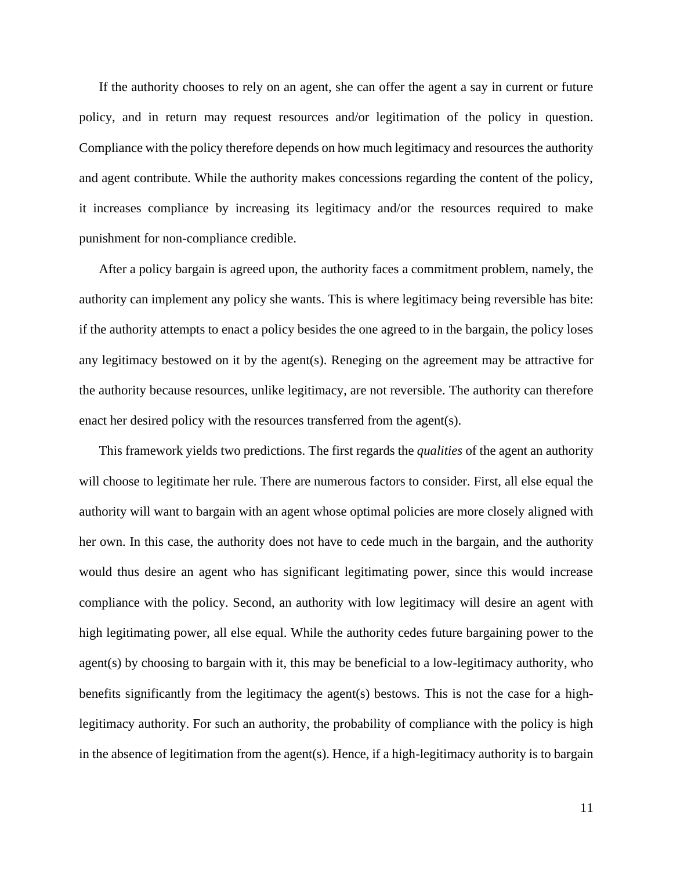If the authority chooses to rely on an agent, she can offer the agent a say in current or future policy, and in return may request resources and/or legitimation of the policy in question. Compliance with the policy therefore depends on how much legitimacy and resources the authority and agent contribute. While the authority makes concessions regarding the content of the policy, it increases compliance by increasing its legitimacy and/or the resources required to make punishment for non-compliance credible.

After a policy bargain is agreed upon, the authority faces a commitment problem, namely, the authority can implement any policy she wants. This is where legitimacy being reversible has bite: if the authority attempts to enact a policy besides the one agreed to in the bargain, the policy loses any legitimacy bestowed on it by the agent(s). Reneging on the agreement may be attractive for the authority because resources, unlike legitimacy, are not reversible. The authority can therefore enact her desired policy with the resources transferred from the agent(s).

This framework yields two predictions. The first regards the *qualities* of the agent an authority will choose to legitimate her rule. There are numerous factors to consider. First, all else equal the authority will want to bargain with an agent whose optimal policies are more closely aligned with her own. In this case, the authority does not have to cede much in the bargain, and the authority would thus desire an agent who has significant legitimating power, since this would increase compliance with the policy. Second, an authority with low legitimacy will desire an agent with high legitimating power, all else equal. While the authority cedes future bargaining power to the agent(s) by choosing to bargain with it, this may be beneficial to a low-legitimacy authority, who benefits significantly from the legitimacy the agent(s) bestows. This is not the case for a highlegitimacy authority. For such an authority, the probability of compliance with the policy is high in the absence of legitimation from the agent(s). Hence, if a high-legitimacy authority is to bargain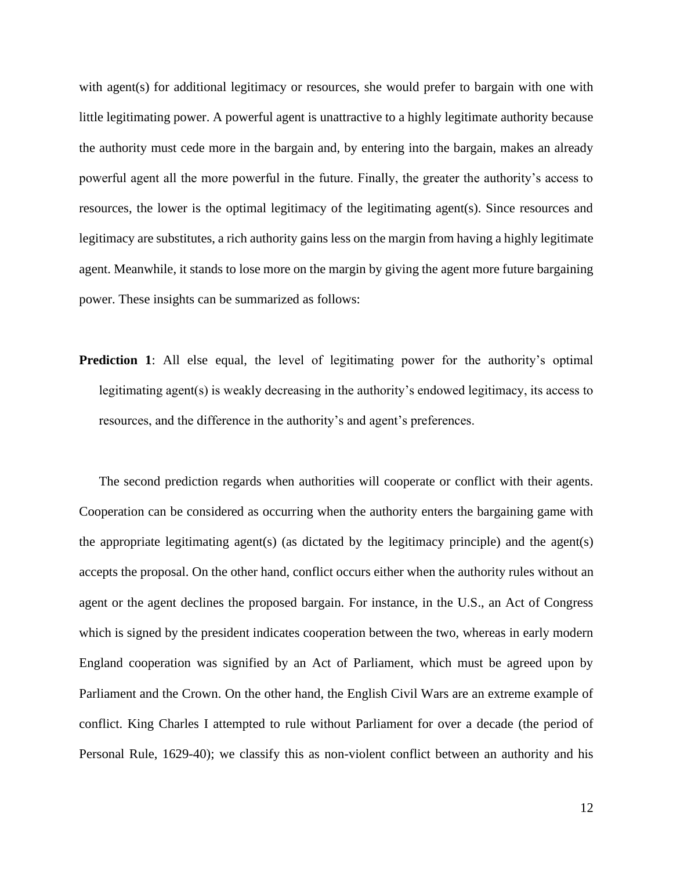with agent(s) for additional legitimacy or resources, she would prefer to bargain with one with little legitimating power. A powerful agent is unattractive to a highly legitimate authority because the authority must cede more in the bargain and, by entering into the bargain, makes an already powerful agent all the more powerful in the future. Finally, the greater the authority's access to resources, the lower is the optimal legitimacy of the legitimating agent(s). Since resources and legitimacy are substitutes, a rich authority gains less on the margin from having a highly legitimate agent. Meanwhile, it stands to lose more on the margin by giving the agent more future bargaining power. These insights can be summarized as follows:

**Prediction 1**: All else equal, the level of legitimating power for the authority's optimal legitimating agent(s) is weakly decreasing in the authority's endowed legitimacy, its access to resources, and the difference in the authority's and agent's preferences.

The second prediction regards when authorities will cooperate or conflict with their agents. Cooperation can be considered as occurring when the authority enters the bargaining game with the appropriate legitimating agent(s) (as dictated by the legitimacy principle) and the agent(s) accepts the proposal. On the other hand, conflict occurs either when the authority rules without an agent or the agent declines the proposed bargain. For instance, in the U.S., an Act of Congress which is signed by the president indicates cooperation between the two, whereas in early modern England cooperation was signified by an Act of Parliament, which must be agreed upon by Parliament and the Crown. On the other hand, the English Civil Wars are an extreme example of conflict. King Charles I attempted to rule without Parliament for over a decade (the period of Personal Rule, 1629-40); we classify this as non-violent conflict between an authority and his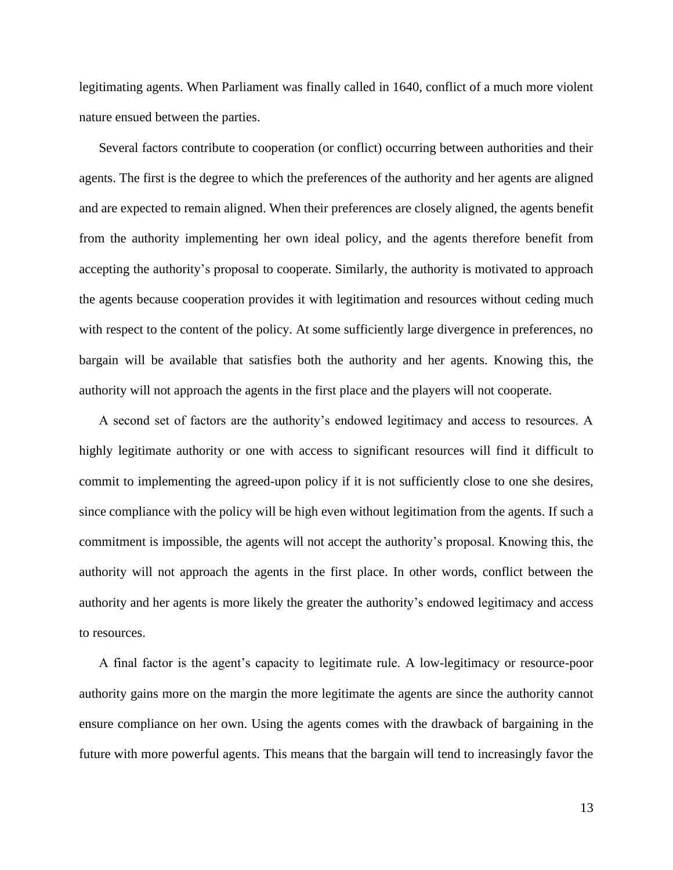legitimating agents. When Parliament was finally called in 1640, conflict of a much more violent nature ensued between the parties.

Several factors contribute to cooperation (or conflict) occurring between authorities and their agents. The first is the degree to which the preferences of the authority and her agents are aligned and are expected to remain aligned. When their preferences are closely aligned, the agents benefit from the authority implementing her own ideal policy, and the agents therefore benefit from accepting the authority's proposal to cooperate. Similarly, the authority is motivated to approach the agents because cooperation provides it with legitimation and resources without ceding much with respect to the content of the policy. At some sufficiently large divergence in preferences, no bargain will be available that satisfies both the authority and her agents. Knowing this, the authority will not approach the agents in the first place and the players will not cooperate.

A second set of factors are the authority's endowed legitimacy and access to resources. A highly legitimate authority or one with access to significant resources will find it difficult to commit to implementing the agreed-upon policy if it is not sufficiently close to one she desires, since compliance with the policy will be high even without legitimation from the agents. If such a commitment is impossible, the agents will not accept the authority's proposal. Knowing this, the authority will not approach the agents in the first place. In other words, conflict between the authority and her agents is more likely the greater the authority's endowed legitimacy and access to resources.

A final factor is the agent's capacity to legitimate rule. A low-legitimacy or resource-poor authority gains more on the margin the more legitimate the agents are since the authority cannot ensure compliance on her own. Using the agents comes with the drawback of bargaining in the future with more powerful agents. This means that the bargain will tend to increasingly favor the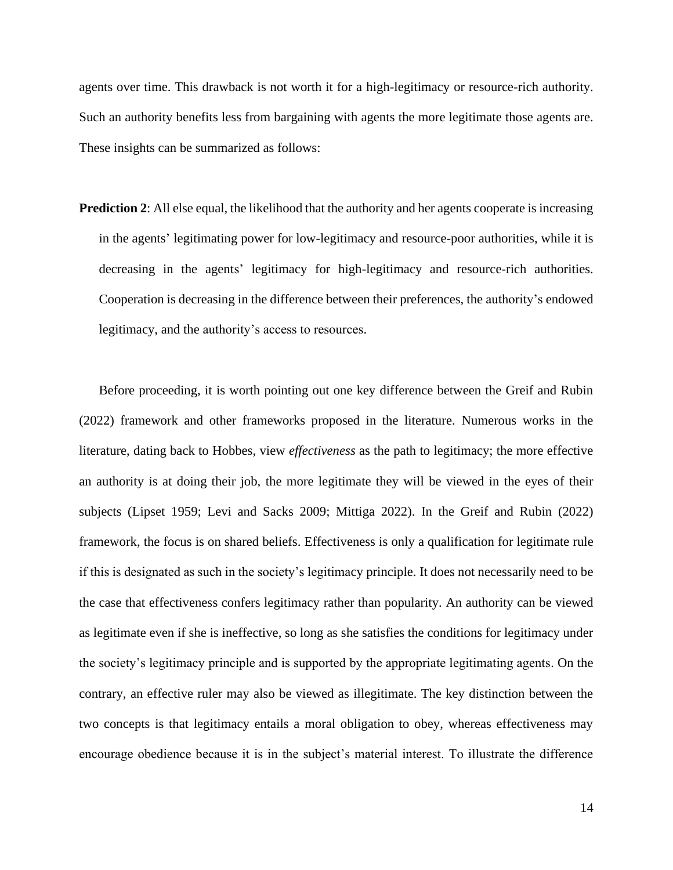agents over time. This drawback is not worth it for a high-legitimacy or resource-rich authority. Such an authority benefits less from bargaining with agents the more legitimate those agents are. These insights can be summarized as follows:

**Prediction 2**: All else equal, the likelihood that the authority and her agents cooperate is increasing in the agents' legitimating power for low-legitimacy and resource-poor authorities, while it is decreasing in the agents' legitimacy for high-legitimacy and resource-rich authorities. Cooperation is decreasing in the difference between their preferences, the authority's endowed legitimacy, and the authority's access to resources.

Before proceeding, it is worth pointing out one key difference between the Greif and Rubin (2022) framework and other frameworks proposed in the literature. Numerous works in the literature, dating back to Hobbes, view *effectiveness* as the path to legitimacy; the more effective an authority is at doing their job, the more legitimate they will be viewed in the eyes of their subjects (Lipset 1959; Levi and Sacks 2009; Mittiga 2022). In the Greif and Rubin (2022) framework, the focus is on shared beliefs. Effectiveness is only a qualification for legitimate rule if this is designated as such in the society's legitimacy principle. It does not necessarily need to be the case that effectiveness confers legitimacy rather than popularity. An authority can be viewed as legitimate even if she is ineffective, so long as she satisfies the conditions for legitimacy under the society's legitimacy principle and is supported by the appropriate legitimating agents. On the contrary, an effective ruler may also be viewed as illegitimate. The key distinction between the two concepts is that legitimacy entails a moral obligation to obey, whereas effectiveness may encourage obedience because it is in the subject's material interest. To illustrate the difference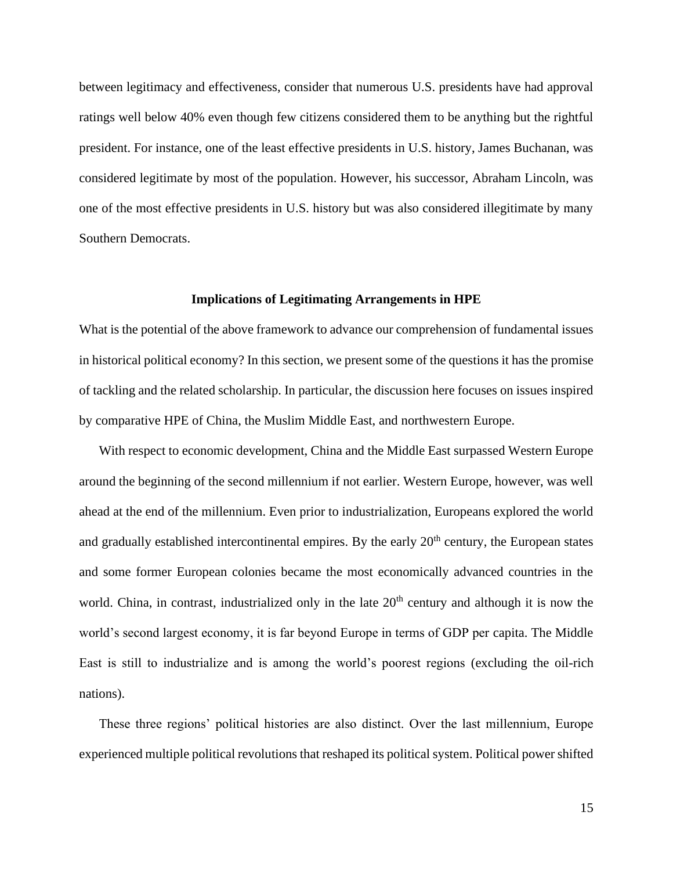between legitimacy and effectiveness, consider that numerous U.S. presidents have had approval ratings well below 40% even though few citizens considered them to be anything but the rightful president. For instance, one of the least effective presidents in U.S. history, James Buchanan, was considered legitimate by most of the population. However, his successor, Abraham Lincoln, was one of the most effective presidents in U.S. history but was also considered illegitimate by many Southern Democrats.

#### **Implications of Legitimating Arrangements in HPE**

What is the potential of the above framework to advance our comprehension of fundamental issues in historical political economy? In this section, we present some of the questions it has the promise of tackling and the related scholarship. In particular, the discussion here focuses on issues inspired by comparative HPE of China, the Muslim Middle East, and northwestern Europe.

With respect to economic development, China and the Middle East surpassed Western Europe around the beginning of the second millennium if not earlier. Western Europe, however, was well ahead at the end of the millennium. Even prior to industrialization, Europeans explored the world and gradually established intercontinental empires. By the early  $20<sup>th</sup>$  century, the European states and some former European colonies became the most economically advanced countries in the world. China, in contrast, industrialized only in the late  $20<sup>th</sup>$  century and although it is now the world's second largest economy, it is far beyond Europe in terms of GDP per capita. The Middle East is still to industrialize and is among the world's poorest regions (excluding the oil-rich nations).

These three regions' political histories are also distinct. Over the last millennium, Europe experienced multiple political revolutions that reshaped its political system. Political power shifted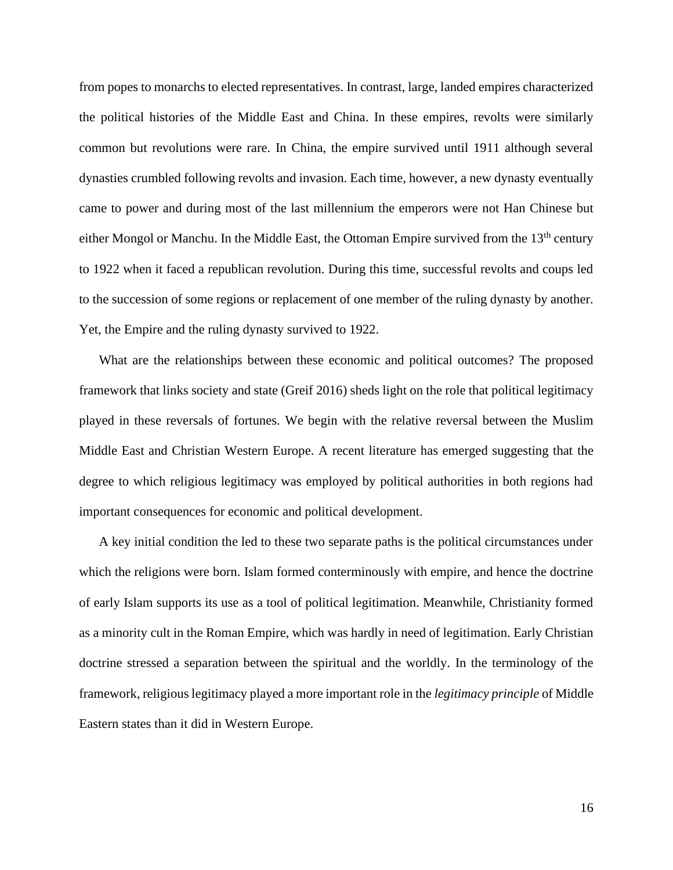from popes to monarchs to elected representatives. In contrast, large, landed empires characterized the political histories of the Middle East and China. In these empires, revolts were similarly common but revolutions were rare. In China, the empire survived until 1911 although several dynasties crumbled following revolts and invasion. Each time, however, a new dynasty eventually came to power and during most of the last millennium the emperors were not Han Chinese but either Mongol or Manchu. In the Middle East, the Ottoman Empire survived from the 13<sup>th</sup> century to 1922 when it faced a republican revolution. During this time, successful revolts and coups led to the succession of some regions or replacement of one member of the ruling dynasty by another. Yet, the Empire and the ruling dynasty survived to 1922.

What are the relationships between these economic and political outcomes? The proposed framework that links society and state (Greif 2016) sheds light on the role that political legitimacy played in these reversals of fortunes. We begin with the relative reversal between the Muslim Middle East and Christian Western Europe. A recent literature has emerged suggesting that the degree to which religious legitimacy was employed by political authorities in both regions had important consequences for economic and political development.

A key initial condition the led to these two separate paths is the political circumstances under which the religions were born. Islam formed conterminously with empire, and hence the doctrine of early Islam supports its use as a tool of political legitimation. Meanwhile, Christianity formed as a minority cult in the Roman Empire, which was hardly in need of legitimation. Early Christian doctrine stressed a separation between the spiritual and the worldly. In the terminology of the framework, religious legitimacy played a more important role in the *legitimacy principle* of Middle Eastern states than it did in Western Europe.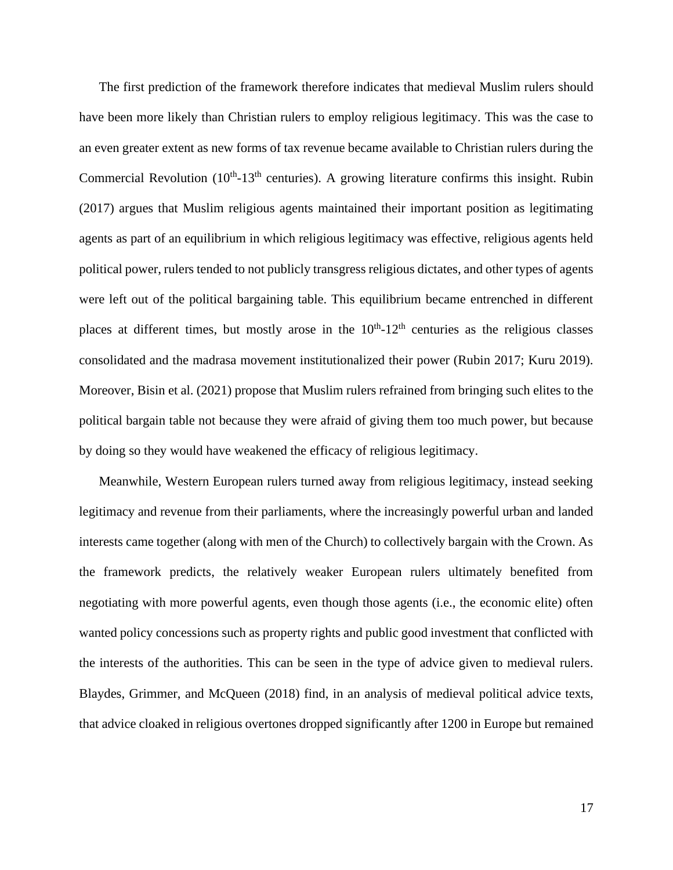The first prediction of the framework therefore indicates that medieval Muslim rulers should have been more likely than Christian rulers to employ religious legitimacy. This was the case to an even greater extent as new forms of tax revenue became available to Christian rulers during the Commercial Revolution  $(10<sup>th</sup>-13<sup>th</sup>$  centuries). A growing literature confirms this insight. Rubin (2017) argues that Muslim religious agents maintained their important position as legitimating agents as part of an equilibrium in which religious legitimacy was effective, religious agents held political power, rulers tended to not publicly transgress religious dictates, and other types of agents were left out of the political bargaining table. This equilibrium became entrenched in different places at different times, but mostly arose in the  $10<sup>th</sup>$ -12<sup>th</sup> centuries as the religious classes consolidated and the madrasa movement institutionalized their power (Rubin 2017; Kuru 2019). Moreover, Bisin et al. (2021) propose that Muslim rulers refrained from bringing such elites to the political bargain table not because they were afraid of giving them too much power, but because by doing so they would have weakened the efficacy of religious legitimacy.

Meanwhile, Western European rulers turned away from religious legitimacy, instead seeking legitimacy and revenue from their parliaments, where the increasingly powerful urban and landed interests came together (along with men of the Church) to collectively bargain with the Crown. As the framework predicts, the relatively weaker European rulers ultimately benefited from negotiating with more powerful agents, even though those agents (i.e., the economic elite) often wanted policy concessions such as property rights and public good investment that conflicted with the interests of the authorities. This can be seen in the type of advice given to medieval rulers. Blaydes, Grimmer, and McQueen (2018) find, in an analysis of medieval political advice texts, that advice cloaked in religious overtones dropped significantly after 1200 in Europe but remained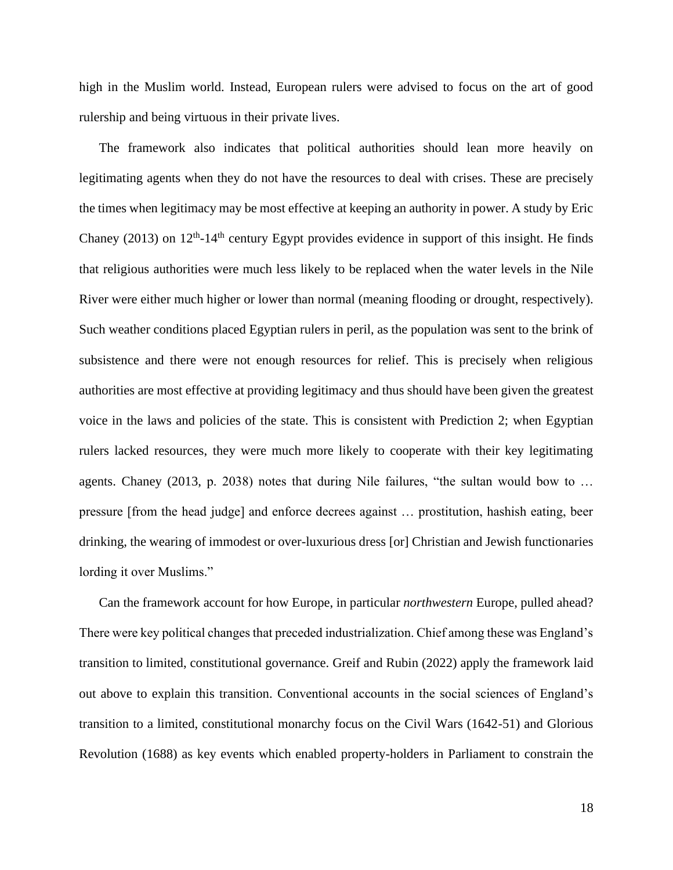high in the Muslim world. Instead, European rulers were advised to focus on the art of good rulership and being virtuous in their private lives.

The framework also indicates that political authorities should lean more heavily on legitimating agents when they do not have the resources to deal with crises. These are precisely the times when legitimacy may be most effective at keeping an authority in power. A study by Eric Chaney (2013) on  $12<sup>th</sup>$ -14<sup>th</sup> century Egypt provides evidence in support of this insight. He finds that religious authorities were much less likely to be replaced when the water levels in the Nile River were either much higher or lower than normal (meaning flooding or drought, respectively). Such weather conditions placed Egyptian rulers in peril, as the population was sent to the brink of subsistence and there were not enough resources for relief. This is precisely when religious authorities are most effective at providing legitimacy and thus should have been given the greatest voice in the laws and policies of the state. This is consistent with Prediction 2; when Egyptian rulers lacked resources, they were much more likely to cooperate with their key legitimating agents. Chaney (2013, p. 2038) notes that during Nile failures, "the sultan would bow to … pressure [from the head judge] and enforce decrees against … prostitution, hashish eating, beer drinking, the wearing of immodest or over-luxurious dress [or] Christian and Jewish functionaries lording it over Muslims."

Can the framework account for how Europe, in particular *northwestern* Europe, pulled ahead? There were key political changes that preceded industrialization. Chief among these was England's transition to limited, constitutional governance. Greif and Rubin (2022) apply the framework laid out above to explain this transition. Conventional accounts in the social sciences of England's transition to a limited, constitutional monarchy focus on the Civil Wars (1642-51) and Glorious Revolution (1688) as key events which enabled property-holders in Parliament to constrain the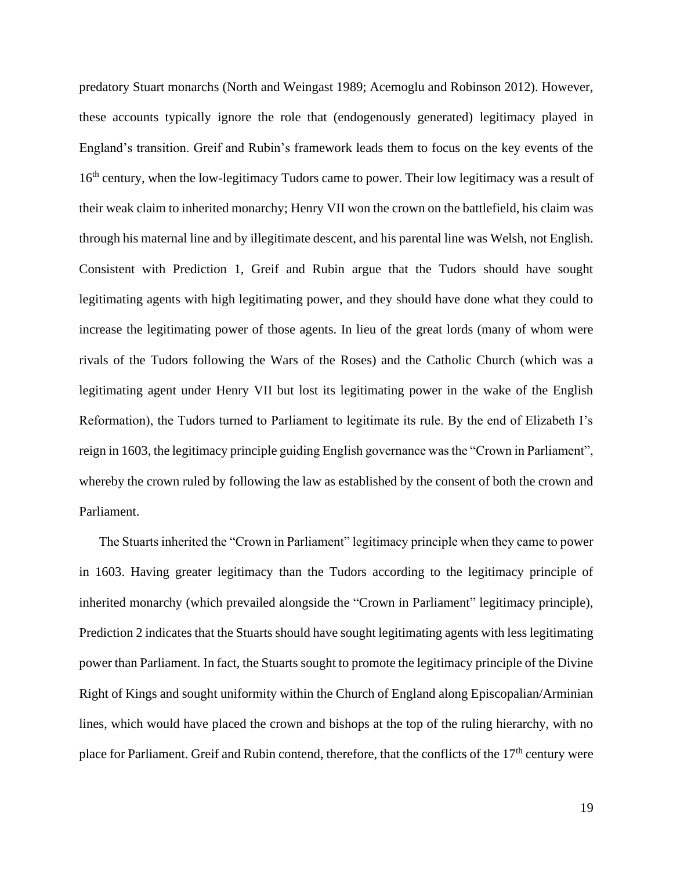predatory Stuart monarchs (North and Weingast 1989; Acemoglu and Robinson 2012). However, these accounts typically ignore the role that (endogenously generated) legitimacy played in England's transition. Greif and Rubin's framework leads them to focus on the key events of the 16<sup>th</sup> century, when the low-legitimacy Tudors came to power. Their low legitimacy was a result of their weak claim to inherited monarchy; Henry VII won the crown on the battlefield, his claim was through his maternal line and by illegitimate descent, and his parental line was Welsh, not English. Consistent with Prediction 1, Greif and Rubin argue that the Tudors should have sought legitimating agents with high legitimating power, and they should have done what they could to increase the legitimating power of those agents. In lieu of the great lords (many of whom were rivals of the Tudors following the Wars of the Roses) and the Catholic Church (which was a legitimating agent under Henry VII but lost its legitimating power in the wake of the English Reformation), the Tudors turned to Parliament to legitimate its rule. By the end of Elizabeth I's reign in 1603, the legitimacy principle guiding English governance was the "Crown in Parliament", whereby the crown ruled by following the law as established by the consent of both the crown and Parliament.

The Stuarts inherited the "Crown in Parliament" legitimacy principle when they came to power in 1603. Having greater legitimacy than the Tudors according to the legitimacy principle of inherited monarchy (which prevailed alongside the "Crown in Parliament" legitimacy principle), Prediction 2 indicates that the Stuarts should have sought legitimating agents with less legitimating power than Parliament. In fact, the Stuarts sought to promote the legitimacy principle of the Divine Right of Kings and sought uniformity within the Church of England along Episcopalian/Arminian lines, which would have placed the crown and bishops at the top of the ruling hierarchy, with no place for Parliament. Greif and Rubin contend, therefore, that the conflicts of the 17<sup>th</sup> century were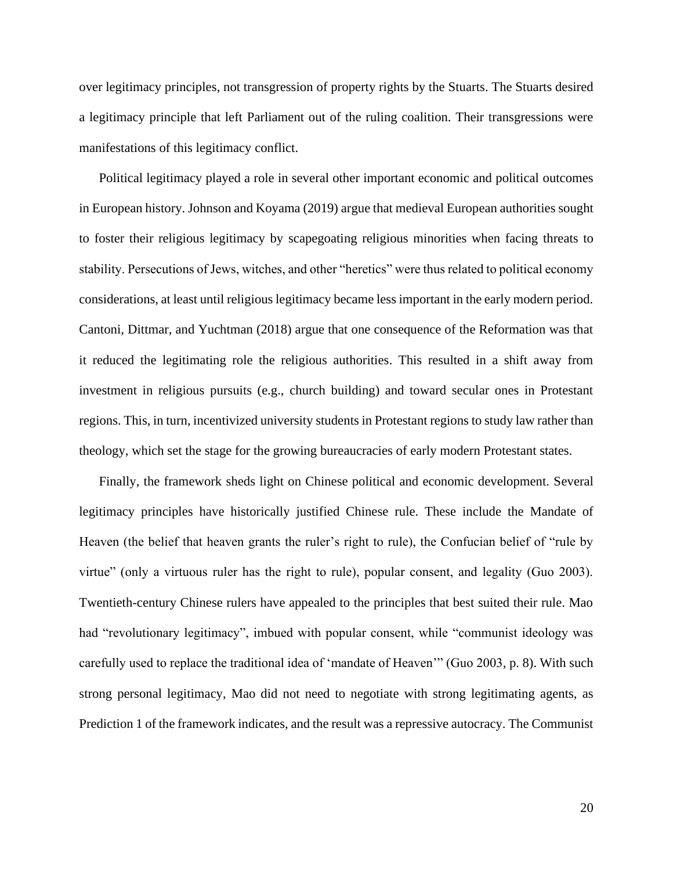over legitimacy principles, not transgression of property rights by the Stuarts. The Stuarts desired a legitimacy principle that left Parliament out of the ruling coalition. Their transgressions were manifestations of this legitimacy conflict.

Political legitimacy played a role in several other important economic and political outcomes in European history. Johnson and Koyama (2019) argue that medieval European authorities sought to foster their religious legitimacy by scapegoating religious minorities when facing threats to stability. Persecutions of Jews, witches, and other "heretics" were thus related to political economy considerations, at least until religious legitimacy became less important in the early modern period. Cantoni, Dittmar, and Yuchtman (2018) argue that one consequence of the Reformation was that it reduced the legitimating role the religious authorities. This resulted in a shift away from investment in religious pursuits (e.g., church building) and toward secular ones in Protestant regions. This, in turn, incentivized university students in Protestant regions to study law rather than theology, which set the stage for the growing bureaucracies of early modern Protestant states.

Finally, the framework sheds light on Chinese political and economic development. Several legitimacy principles have historically justified Chinese rule. These include the Mandate of Heaven (the belief that heaven grants the ruler's right to rule), the Confucian belief of "rule by virtue" (only a virtuous ruler has the right to rule), popular consent, and legality (Guo 2003). Twentieth-century Chinese rulers have appealed to the principles that best suited their rule. Mao had "revolutionary legitimacy", imbued with popular consent, while "communist ideology was carefully used to replace the traditional idea of 'mandate of Heaven'" (Guo 2003, p. 8). With such strong personal legitimacy, Mao did not need to negotiate with strong legitimating agents, as Prediction 1 of the framework indicates, and the result was a repressive autocracy. The Communist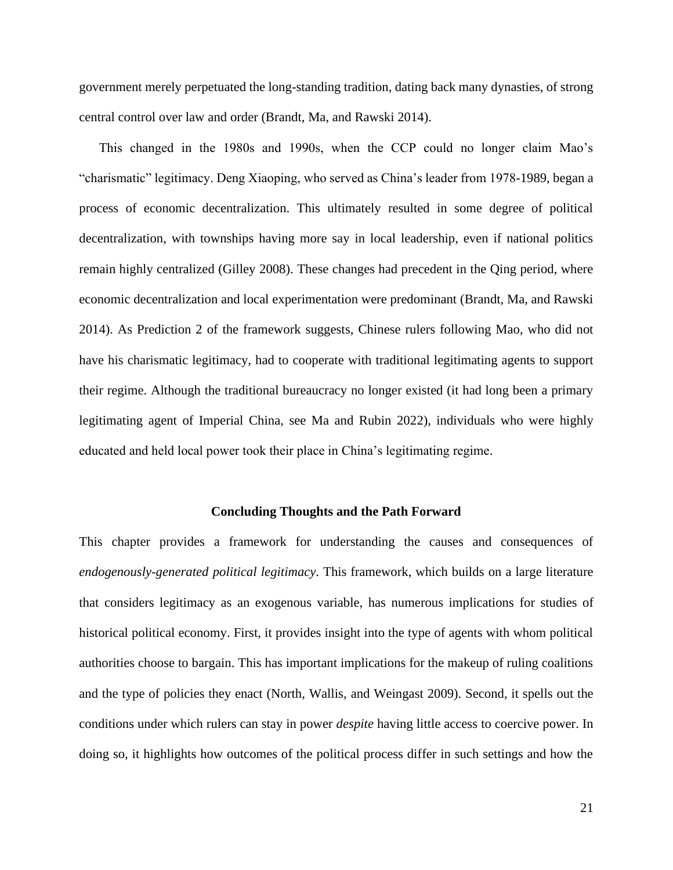government merely perpetuated the long-standing tradition, dating back many dynasties, of strong central control over law and order (Brandt, Ma, and Rawski 2014).

This changed in the 1980s and 1990s, when the CCP could no longer claim Mao's "charismatic" legitimacy. Deng Xiaoping, who served as China's leader from 1978-1989, began a process of economic decentralization. This ultimately resulted in some degree of political decentralization, with townships having more say in local leadership, even if national politics remain highly centralized (Gilley 2008). These changes had precedent in the Qing period, where economic decentralization and local experimentation were predominant (Brandt, Ma, and Rawski 2014). As Prediction 2 of the framework suggests, Chinese rulers following Mao, who did not have his charismatic legitimacy, had to cooperate with traditional legitimating agents to support their regime. Although the traditional bureaucracy no longer existed (it had long been a primary legitimating agent of Imperial China, see Ma and Rubin 2022), individuals who were highly educated and held local power took their place in China's legitimating regime.

#### **Concluding Thoughts and the Path Forward**

This chapter provides a framework for understanding the causes and consequences of *endogenously-generated political legitimacy*. This framework, which builds on a large literature that considers legitimacy as an exogenous variable, has numerous implications for studies of historical political economy. First, it provides insight into the type of agents with whom political authorities choose to bargain. This has important implications for the makeup of ruling coalitions and the type of policies they enact (North, Wallis, and Weingast 2009). Second, it spells out the conditions under which rulers can stay in power *despite* having little access to coercive power. In doing so, it highlights how outcomes of the political process differ in such settings and how the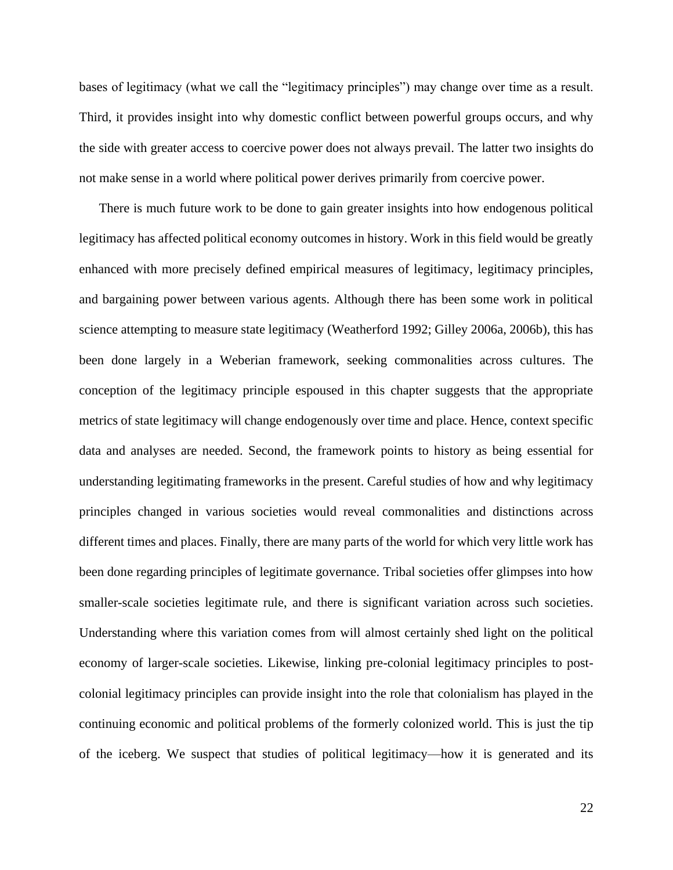bases of legitimacy (what we call the "legitimacy principles") may change over time as a result. Third, it provides insight into why domestic conflict between powerful groups occurs, and why the side with greater access to coercive power does not always prevail. The latter two insights do not make sense in a world where political power derives primarily from coercive power.

There is much future work to be done to gain greater insights into how endogenous political legitimacy has affected political economy outcomes in history. Work in this field would be greatly enhanced with more precisely defined empirical measures of legitimacy, legitimacy principles, and bargaining power between various agents. Although there has been some work in political science attempting to measure state legitimacy (Weatherford 1992; Gilley 2006a, 2006b), this has been done largely in a Weberian framework, seeking commonalities across cultures. The conception of the legitimacy principle espoused in this chapter suggests that the appropriate metrics of state legitimacy will change endogenously over time and place. Hence, context specific data and analyses are needed. Second, the framework points to history as being essential for understanding legitimating frameworks in the present. Careful studies of how and why legitimacy principles changed in various societies would reveal commonalities and distinctions across different times and places. Finally, there are many parts of the world for which very little work has been done regarding principles of legitimate governance. Tribal societies offer glimpses into how smaller-scale societies legitimate rule, and there is significant variation across such societies. Understanding where this variation comes from will almost certainly shed light on the political economy of larger-scale societies. Likewise, linking pre-colonial legitimacy principles to postcolonial legitimacy principles can provide insight into the role that colonialism has played in the continuing economic and political problems of the formerly colonized world. This is just the tip of the iceberg. We suspect that studies of political legitimacy—how it is generated and its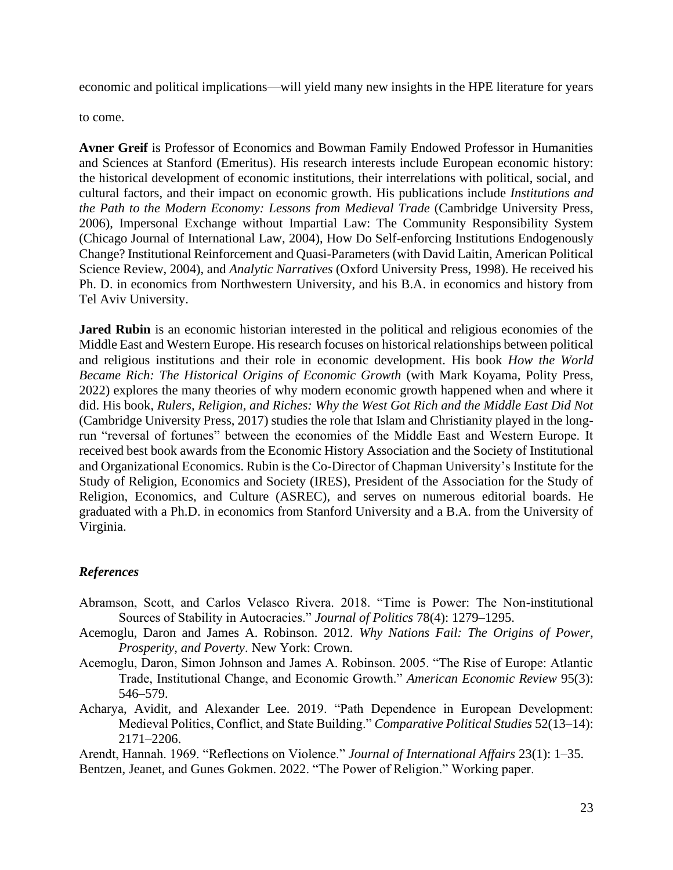economic and political implications—will yield many new insights in the HPE literature for years

to come.

**Avner Greif** is Professor of Economics and Bowman Family Endowed Professor in Humanities and Sciences at Stanford (Emeritus). His research interests include European economic history: the historical development of economic institutions, their interrelations with political, social, and cultural factors, and their impact on economic growth. His publications include *Institutions and the Path to the Modern Economy: Lessons from Medieval Trade* (Cambridge University Press, 2006), Impersonal Exchange without Impartial Law: The Community Responsibility System (Chicago Journal of International Law, 2004), How Do Self-enforcing Institutions Endogenously Change? Institutional Reinforcement and Quasi-Parameters (with David Laitin, American Political Science Review, 2004), and *Analytic Narratives* (Oxford University Press, 1998). He received his Ph. D. in economics from Northwestern University, and his B.A. in economics and history from Tel Aviv University.

**Jared Rubin** is an economic historian interested in the political and religious economies of the Middle East and Western Europe. His research focuses on historical relationships between political and religious institutions and their role in economic development. His book *How the World Became Rich: The Historical Origins of Economic Growth* (with Mark Koyama, Polity Press, 2022) explores the many theories of why modern economic growth happened when and where it did. His book, *Rulers, Religion, and Riches: Why the West Got Rich and the Middle East Did Not* (Cambridge University Press, 2017) studies the role that Islam and Christianity played in the longrun "reversal of fortunes" between the economies of the Middle East and Western Europe. It received best book awards from the Economic History Association and the Society of Institutional and Organizational Economics. Rubin is the Co-Director of Chapman University's Institute for the Study of Religion, Economics and Society (IRES), President of the Association for the Study of Religion, Economics, and Culture (ASREC), and serves on numerous editorial boards. He graduated with a Ph.D. in economics from Stanford University and a B.A. from the University of Virginia.

### *References*

- Abramson, Scott, and Carlos Velasco Rivera. 2018. "Time is Power: The Non-institutional Sources of Stability in Autocracies." *Journal of Politics* 78(4): 1279–1295.
- Acemoglu, Daron and James A. Robinson. 2012. *Why Nations Fail: The Origins of Power, Prosperity, and Poverty*. New York: Crown.
- Acemoglu, Daron, Simon Johnson and James A. Robinson. 2005. "The Rise of Europe: Atlantic Trade, Institutional Change, and Economic Growth." *American Economic Review* 95(3): 546–579.
- Acharya, Avidit, and Alexander Lee. 2019. "Path Dependence in European Development: Medieval Politics, Conflict, and State Building." *Comparative Political Studies* 52(13–14): 2171–2206.

Arendt, Hannah. 1969. "Reflections on Violence." *Journal of International Affairs* 23(1): 1–35. Bentzen, Jeanet, and Gunes Gokmen. 2022. "The Power of Religion." Working paper.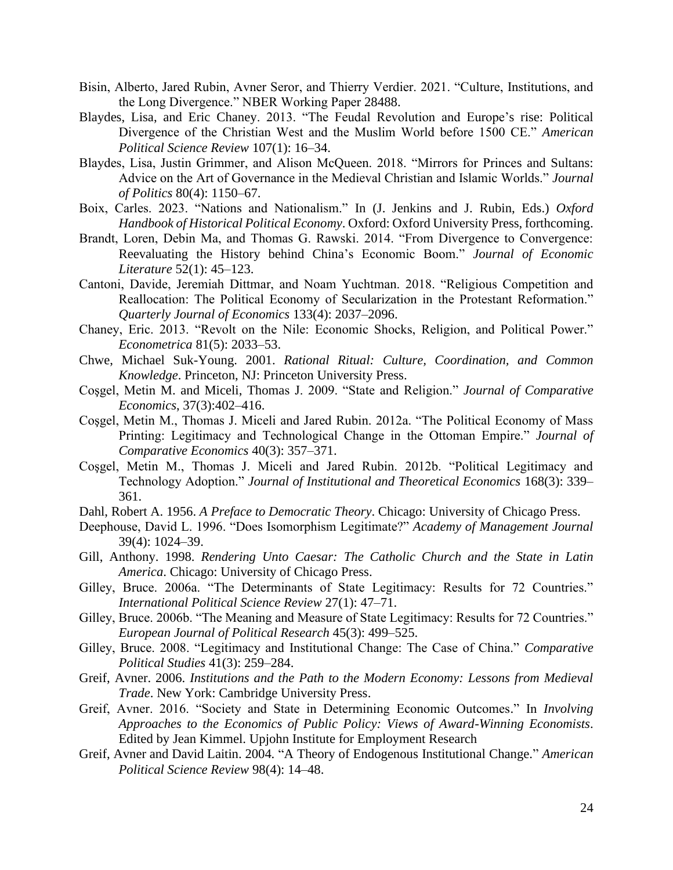- Bisin, Alberto, Jared Rubin, Avner Seror, and Thierry Verdier. 2021. "Culture, Institutions, and the Long Divergence." NBER Working Paper 28488.
- Blaydes, Lisa, and Eric Chaney. 2013. "The Feudal Revolution and Europe's rise: Political Divergence of the Christian West and the Muslim World before 1500 CE." *American Political Science Review* 107(1): 16–34.
- Blaydes, Lisa, Justin Grimmer, and Alison McQueen. 2018. "Mirrors for Princes and Sultans: Advice on the Art of Governance in the Medieval Christian and Islamic Worlds." *Journal of Politics* 80(4): 1150–67.
- Boix, Carles. 2023. "Nations and Nationalism." In (J. Jenkins and J. Rubin, Eds.) *Oxford Handbook of Historical Political Economy*. Oxford: Oxford University Press, forthcoming.
- Brandt, Loren, Debin Ma, and Thomas G. Rawski. 2014. "From Divergence to Convergence: Reevaluating the History behind China's Economic Boom." *Journal of Economic Literature* 52(1): 45–123.
- Cantoni, Davide, Jeremiah Dittmar, and Noam Yuchtman. 2018. "Religious Competition and Reallocation: The Political Economy of Secularization in the Protestant Reformation." *Quarterly Journal of Economics* 133(4): 2037–2096.
- Chaney, Eric. 2013. "Revolt on the Nile: Economic Shocks, Religion, and Political Power." *Econometrica* 81(5): 2033–53.
- Chwe, Michael Suk-Young. 2001. *Rational Ritual: Culture, Coordination, and Common Knowledge*. Princeton, NJ: Princeton University Press.
- Coşgel, Metin M. and Miceli, Thomas J. 2009. "State and Religion." *Journal of Comparative Economics*, 37(3):402–416.
- Coşgel, Metin M., Thomas J. Miceli and Jared Rubin. 2012a. "The Political Economy of Mass Printing: Legitimacy and Technological Change in the Ottoman Empire." *Journal of Comparative Economics* 40(3): 357–371.
- Coşgel, Metin M., Thomas J. Miceli and Jared Rubin. 2012b. "Political Legitimacy and Technology Adoption." *Journal of Institutional and Theoretical Economics* 168(3): 339– 361.
- Dahl, Robert A. 1956. *A Preface to Democratic Theory*. Chicago: University of Chicago Press.
- Deephouse, David L. 1996. "Does Isomorphism Legitimate?" *Academy of Management Journal* 39(4): 1024–39.
- Gill, Anthony. 1998. *Rendering Unto Caesar: The Catholic Church and the State in Latin America*. Chicago: University of Chicago Press.
- Gilley, Bruce. 2006a. "The Determinants of State Legitimacy: Results for 72 Countries." *International Political Science Review* 27(1): 47–71.
- Gilley, Bruce. 2006b. "The Meaning and Measure of State Legitimacy: Results for 72 Countries." *European Journal of Political Research* 45(3): 499–525.
- Gilley, Bruce. 2008. "Legitimacy and Institutional Change: The Case of China." *Comparative Political Studies* 41(3): 259–284.
- Greif, Avner. 2006. *Institutions and the Path to the Modern Economy: Lessons from Medieval Trade*. New York: Cambridge University Press.
- Greif, Avner. 2016. "Society and State in Determining Economic Outcomes." In *Involving Approaches to the Economics of Public Policy: Views of Award-Winning Economists*. Edited by Jean Kimmel. Upjohn Institute for Employment Research
- Greif, Avner and David Laitin. 2004. "A Theory of Endogenous Institutional Change." *American Political Science Review* 98(4): 14–48.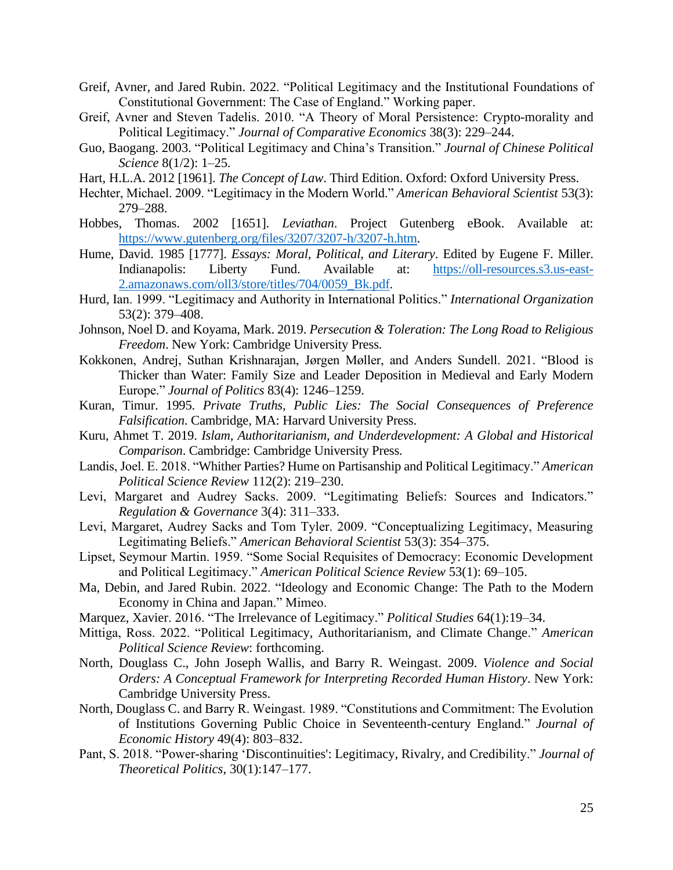- Greif, Avner, and Jared Rubin. 2022. "Political Legitimacy and the Institutional Foundations of Constitutional Government: The Case of England." Working paper.
- Greif, Avner and Steven Tadelis. 2010. "A Theory of Moral Persistence: Crypto-morality and Political Legitimacy." *Journal of Comparative Economics* 38(3): 229–244.
- Guo, Baogang. 2003. "Political Legitimacy and China's Transition." *Journal of Chinese Political Science* 8(1/2): 1–25.
- Hart, H.L.A. 2012 [1961]. *The Concept of Law*. Third Edition. Oxford: Oxford University Press.
- Hechter, Michael. 2009. "Legitimacy in the Modern World." *American Behavioral Scientist* 53(3): 279–288.
- Hobbes, Thomas. 2002 [1651]. *Leviathan*. Project Gutenberg eBook. Available at: [https://www.gutenberg.org/files/3207/3207-h/3207-h.htm.](https://www.gutenberg.org/files/3207/3207-h/3207-h.htm)
- Hume, David. 1985 [1777]. *Essays: Moral, Political, and Literary*. Edited by Eugene F. Miller. Indianapolis: Liberty Fund. Available at: [https://oll-resources.s3.us-east-](https://oll-resources.s3.us-east-2.amazonaws.com/oll3/store/titles/704/0059_Bk.pdf)[2.amazonaws.com/oll3/store/titles/704/0059\\_Bk.pdf.](https://oll-resources.s3.us-east-2.amazonaws.com/oll3/store/titles/704/0059_Bk.pdf)
- Hurd, Ian. 1999. "Legitimacy and Authority in International Politics." *International Organization* 53(2): 379–408.
- Johnson, Noel D. and Koyama, Mark. 2019. *Persecution & Toleration: The Long Road to Religious Freedom*. New York: Cambridge University Press.
- Kokkonen, Andrej, Suthan Krishnarajan, Jørgen Møller, and Anders Sundell. 2021. "Blood is Thicker than Water: Family Size and Leader Deposition in Medieval and Early Modern Europe." *Journal of Politics* 83(4): 1246–1259.
- Kuran, Timur. 1995. *Private Truths, Public Lies: The Social Consequences of Preference Falsification*. Cambridge, MA: Harvard University Press.
- Kuru, Ahmet T. 2019. *Islam, Authoritarianism, and Underdevelopment: A Global and Historical Comparison*. Cambridge: Cambridge University Press.
- Landis, Joel. E. 2018. "Whither Parties? Hume on Partisanship and Political Legitimacy." *American Political Science Review* 112(2): 219–230.
- Levi, Margaret and Audrey Sacks. 2009. "Legitimating Beliefs: Sources and Indicators." *Regulation & Governance* 3(4): 311–333.
- Levi, Margaret, Audrey Sacks and Tom Tyler. 2009. "Conceptualizing Legitimacy, Measuring Legitimating Beliefs." *American Behavioral Scientist* 53(3): 354–375.
- Lipset, Seymour Martin. 1959. "Some Social Requisites of Democracy: Economic Development and Political Legitimacy." *American Political Science Review* 53(1): 69–105.
- Ma, Debin, and Jared Rubin. 2022. "Ideology and Economic Change: The Path to the Modern Economy in China and Japan." Mimeo.
- Marquez, Xavier. 2016. "The Irrelevance of Legitimacy." *Political Studies* 64(1):19–34.
- Mittiga, Ross. 2022. "Political Legitimacy, Authoritarianism, and Climate Change." *American Political Science Review*: forthcoming.
- North, Douglass C., John Joseph Wallis, and Barry R. Weingast. 2009. *Violence and Social Orders: A Conceptual Framework for Interpreting Recorded Human History*. New York: Cambridge University Press.
- North, Douglass C. and Barry R. Weingast. 1989. "Constitutions and Commitment: The Evolution of Institutions Governing Public Choice in Seventeenth-century England." *Journal of Economic History* 49(4): 803–832.
- Pant, S. 2018. "Power-sharing 'Discontinuities': Legitimacy, Rivalry, and Credibility." *Journal of Theoretical Politics*, 30(1):147–177.